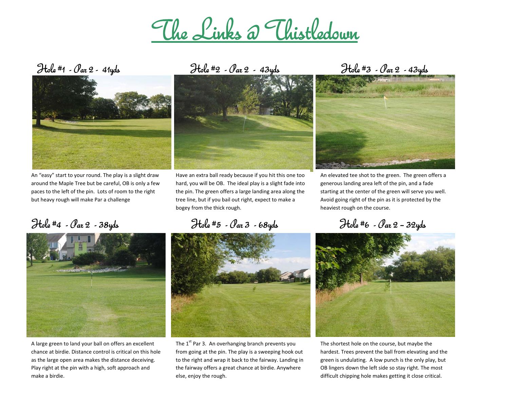## The Links @ Thistledown



An "easy" start to your round. The play is <sup>a</sup> slight draw around the Maple Tree but be careful, OB is only <sup>a</sup> few paces to the left of the pin. Lots of room to the right but heavy rough will make Par <sup>a</sup> challenge



A large green to land your ball on offers an excellent chance at birdie. Distance control is critical on this hole as the large open area makes the distance deceiving. Play right at the pin with <sup>a</sup> high, soft approach and make <sup>a</sup> birdie.

Hole #1 - Par 2 - 41yds Hole #2 - Par 2 - 43yds Hole #3 - Par 2 - 43yds



Have an extra ball ready because if you hit this one too hard, you will be OB. The ideal play is <sup>a</sup> slight fade into the pin. The green offers <sup>a</sup> large landing area along the tree line, but if you bail out right, expect to make <sup>a</sup> bogey from the thick rough.

Hole #4 - Par 2 - 38yds Hole #5 - Par 3 - 68yds Hole #6 - Par 2 – 32yds

The  $1^{\text{st}}$  Par 3. An overhanging branch prevents you from going at the pin. The play is <sup>a</sup> sweeping hook out to the right and wrap it back to the fairway. Landing in the fairway offers <sup>a</sup> great chance at birdie. Anywhere else, enjoy the rough.



An elevated tee shot to the green. The green offers <sup>a</sup> generous landing area left of the pin, and <sup>a</sup> fade starting at the center of the green will serve you well. Avoid going right of the pin as it is protected by the heaviest rough on the course.



The shortest hole on the course, but maybe the hardest. Trees prevent the ball from elevating and the green is undulating. A low punch is the only play, but OB lingers down the left side so stay right. The most difficult chipping hole makes getting it close critical.